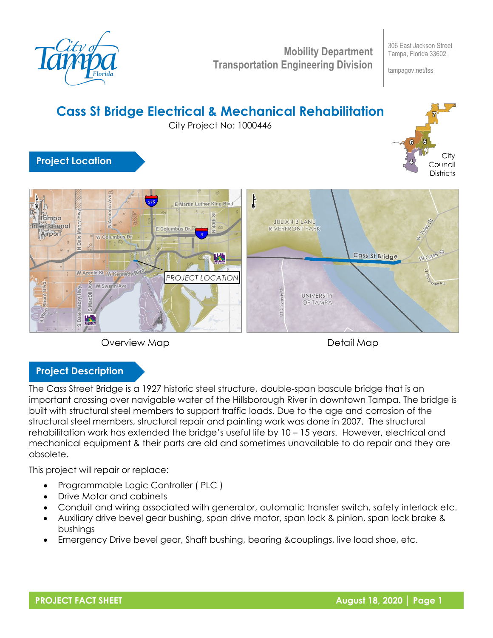

**Mobility Department Transportation Engineering Division**

306 East Jackson Street Tampa, Florida 33602

tampagov.net/tss







Detail Map

## **Project Description**

The Cass Street Bridge is a 1927 historic steel structure, double-span bascule bridge that is an important crossing over navigable water of the Hillsborough River in downtown Tampa. The bridge is built with structural steel members to support traffic loads. Due to the age and corrosion of the structural steel members, structural repair and painting work was done in 2007. The structural rehabilitation work has extended the bridge's useful life by 10 – 15 years. However, electrical and mechanical equipment & their parts are old and sometimes unavailable to do repair and they are obsolete.

This project will repair or replace:

- Programmable Logic Controller ( PLC )
- Drive Motor and cabinets
- Conduit and wiring associated with generator, automatic transfer switch, safety interlock etc.
- Auxiliary drive bevel gear bushing, span drive motor, span lock & pinion, span lock brake & bushings
- Emergency Drive bevel gear, Shaft bushing, bearing &couplings, live load shoe, etc.